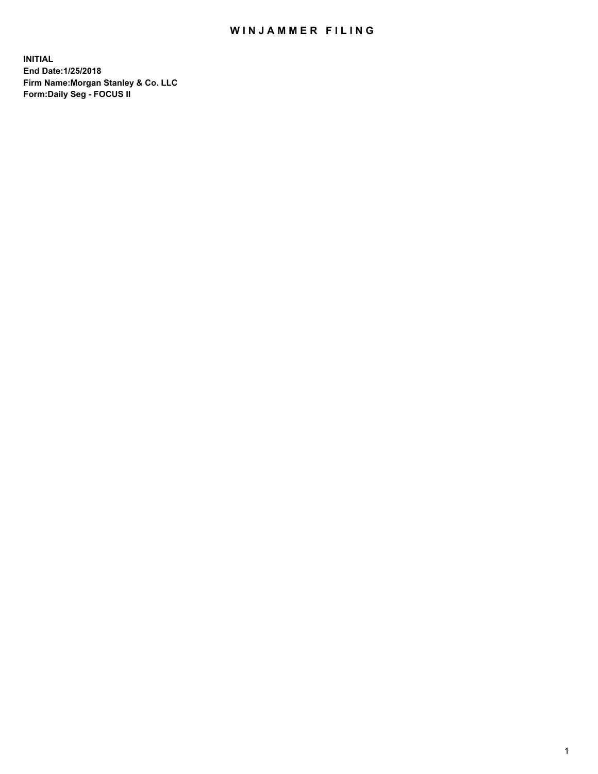### WIN JAMMER FILING

**INITIAL End Date:1/25/2018 Firm Name:Morgan Stanley & Co. LLC Form:Daily Seg - FOCUS II**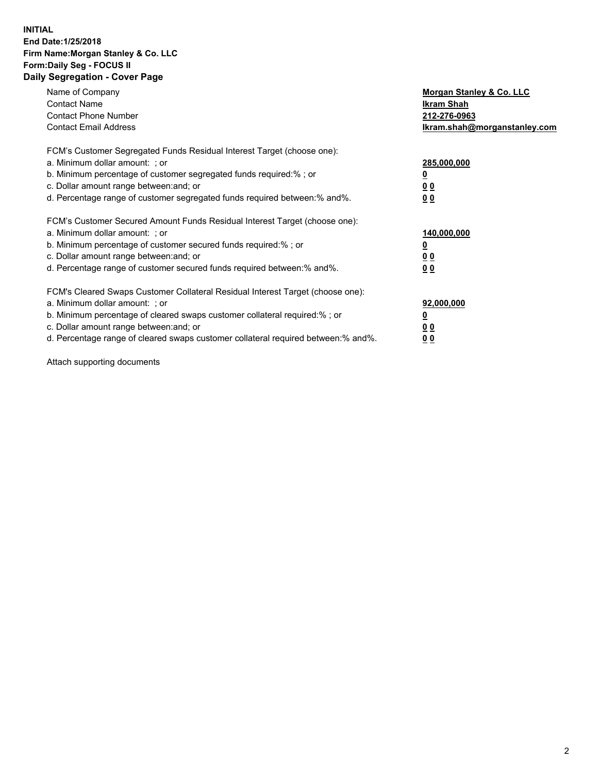#### **INITIAL End Date:1/25/2018 Firm Name:Morgan Stanley & Co. LLC Form:Daily Seg - FOCUS II Daily Segregation - Cover Page**

| Name of Company                                                                   | Morgan Stanley & Co. LLC     |
|-----------------------------------------------------------------------------------|------------------------------|
| <b>Contact Name</b>                                                               | Ikram Shah                   |
| <b>Contact Phone Number</b>                                                       | 212-276-0963                 |
| <b>Contact Email Address</b>                                                      | lkram.shah@morganstanley.com |
| FCM's Customer Segregated Funds Residual Interest Target (choose one):            |                              |
| a. Minimum dollar amount: ; or                                                    | 285,000,000                  |
| b. Minimum percentage of customer segregated funds required:%; or                 |                              |
| c. Dollar amount range between: and; or                                           | 00                           |
| d. Percentage range of customer segregated funds required between: % and %.       | 0 <sub>0</sub>               |
| FCM's Customer Secured Amount Funds Residual Interest Target (choose one):        |                              |
| a. Minimum dollar amount: ; or                                                    | 140,000,000                  |
| b. Minimum percentage of customer secured funds required:%; or                    |                              |
| c. Dollar amount range between: and; or                                           | 00                           |
| d. Percentage range of customer secured funds required between: % and %.          | 0 <sub>0</sub>               |
| FCM's Cleared Swaps Customer Collateral Residual Interest Target (choose one):    |                              |
| a. Minimum dollar amount: ; or                                                    | 92,000,000                   |
| b. Minimum percentage of cleared swaps customer collateral required:% ; or        | <u>0</u>                     |
| c. Dollar amount range between: and; or                                           | <u>00</u>                    |
| d. Percentage range of cleared swaps customer collateral required between:% and%. | 00                           |
|                                                                                   |                              |

Attach supporting documents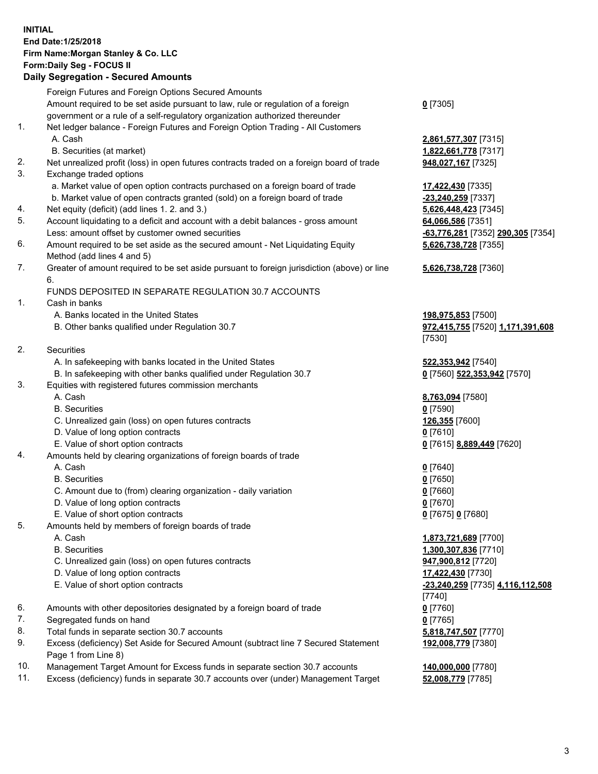### **INITIAL End Date:1/25/2018 Firm Name:Morgan Stanley & Co. LLC Form:Daily Seg - FOCUS II**

# **Daily Segregation - Secured Amounts**

|    | <b>Daily Ocglegation - Occurred Amounts</b>                                                 |                                   |
|----|---------------------------------------------------------------------------------------------|-----------------------------------|
|    | Foreign Futures and Foreign Options Secured Amounts                                         |                                   |
|    | Amount required to be set aside pursuant to law, rule or regulation of a foreign            | $0$ [7305]                        |
|    | government or a rule of a self-regulatory organization authorized thereunder                |                                   |
| 1. | Net ledger balance - Foreign Futures and Foreign Option Trading - All Customers             |                                   |
|    | A. Cash                                                                                     | 2,861,577,307 [7315]              |
|    | B. Securities (at market)                                                                   | 1,822,661,778 [7317]              |
| 2. | Net unrealized profit (loss) in open futures contracts traded on a foreign board of trade   | 948,027,167 [7325]                |
| 3. | Exchange traded options                                                                     |                                   |
|    | a. Market value of open option contracts purchased on a foreign board of trade              | 17,422,430 [7335]                 |
|    | b. Market value of open contracts granted (sold) on a foreign board of trade                | -23,240,259 [7337]                |
| 4. | Net equity (deficit) (add lines 1.2. and 3.)                                                | 5,626,448,423 [7345]              |
| 5. | Account liquidating to a deficit and account with a debit balances - gross amount           | 64,066,586 [7351]                 |
|    | Less: amount offset by customer owned securities                                            | -63,776,281 [7352] 290,305 [7354] |
| 6. | Amount required to be set aside as the secured amount - Net Liquidating Equity              | 5,626,738,728 [7355]              |
|    | Method (add lines 4 and 5)                                                                  |                                   |
| 7. | Greater of amount required to be set aside pursuant to foreign jurisdiction (above) or line | 5,626,738,728 [7360]              |
|    | 6.                                                                                          |                                   |
|    | FUNDS DEPOSITED IN SEPARATE REGULATION 30.7 ACCOUNTS                                        |                                   |
| 1. | Cash in banks                                                                               |                                   |
|    | A. Banks located in the United States                                                       | 198,975,853 [7500]                |
|    | B. Other banks qualified under Regulation 30.7                                              | 972,415,755 [7520] 1,171,391,608  |
|    |                                                                                             | [7530]                            |
| 2. | Securities                                                                                  |                                   |
|    | A. In safekeeping with banks located in the United States                                   | 522,353,942 [7540]                |
|    | B. In safekeeping with other banks qualified under Regulation 30.7                          | 0 [7560] 522,353,942 [7570]       |
| 3. | Equities with registered futures commission merchants                                       |                                   |
|    | A. Cash                                                                                     | 8,763,094 [7580]                  |
|    | <b>B.</b> Securities                                                                        | $0$ [7590]                        |
|    | C. Unrealized gain (loss) on open futures contracts                                         | 126,355 [7600]                    |
|    | D. Value of long option contracts                                                           | $0$ [7610]                        |
|    | E. Value of short option contracts                                                          | 0 [7615] 8,889,449 [7620]         |
| 4. | Amounts held by clearing organizations of foreign boards of trade                           |                                   |
|    | A. Cash                                                                                     | $0$ [7640]                        |
|    | <b>B.</b> Securities                                                                        | $0$ [7650]                        |
|    | C. Amount due to (from) clearing organization - daily variation                             | $0$ [7660]                        |
|    | D. Value of long option contracts                                                           | $0$ [7670]                        |
|    | E. Value of short option contracts                                                          | 0 [7675] 0 [7680]                 |
| 5. | Amounts held by members of foreign boards of trade                                          |                                   |
|    | A. Cash                                                                                     | 1,873,721,689 [7700]              |
|    | <b>B.</b> Securities                                                                        | 1,300,307,836 [7710]              |
|    | C. Unrealized gain (loss) on open futures contracts                                         | 947,900,812 [7720]                |
|    | D. Value of long option contracts                                                           | 17,422,430 [7730]                 |
|    | E. Value of short option contracts                                                          | -23,240,259 [7735] 4,116,112,508  |
|    |                                                                                             | [7740]                            |
| 6. | Amounts with other depositories designated by a foreign board of trade                      | $0$ [7760]                        |
| 7. | Segregated funds on hand                                                                    | $0$ [7765]                        |
| 8. | Total funds in separate section 30.7 accounts                                               | 5,818,747,507 [7770]              |
| 9. | Excess (deficiency) Set Aside for Secured Amount (subtract line 7 Secured Statement         | 192,008,779 [7380]                |
|    | Page 1 from Line 8)                                                                         |                                   |
|    |                                                                                             |                                   |

- 10. Management Target Amount for Excess funds in separate section 30.7 accounts **140,000,000** [7780]
- 11. Excess (deficiency) funds in separate 30.7 accounts over (under) Management Target **52,008,779** [7785]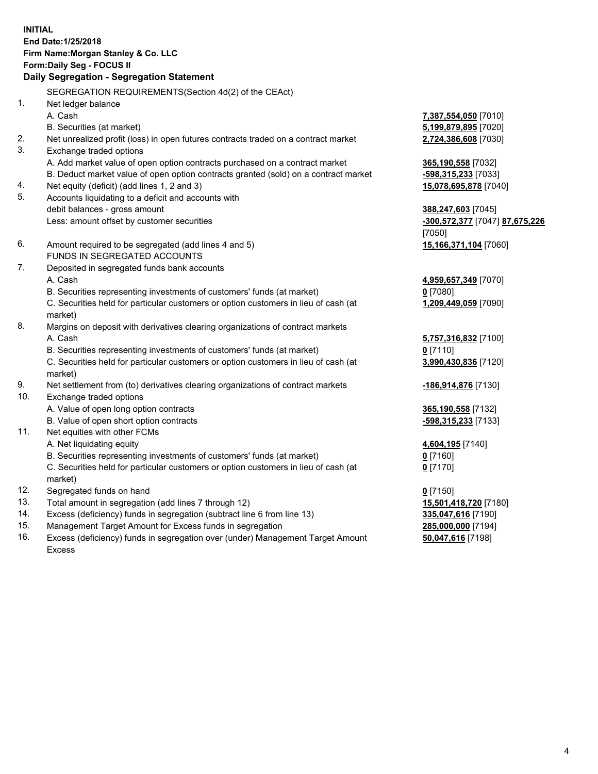### **INITIAL End Date:1/25/2018 Firm Name:Morgan Stanley & Co. LLC Form:Daily Seg - FOCUS II**

# **Daily Segregation - Segregation Statement**

SEGREGATION REQUIREMENTS(Section 4d(2) of the CEAct) 1. Net ledger balance A. Cash **7,387,554,050** [7010] B. Securities (at market) **5,199,879,895** [7020] 2. Net unrealized profit (loss) in open futures contracts traded on a contract market **2,724,386,608** [7030] 3. Exchange traded options A. Add market value of open option contracts purchased on a contract market **365,190,558** [7032] B. Deduct market value of open option contracts granted (sold) on a contract market **-598,315,233** [7033] 4. Net equity (deficit) (add lines 1, 2 and 3) **15,078,695,878** [7040] 5. Accounts liquidating to a deficit and accounts with debit balances - gross amount **388,247,603** [7045] Less: amount offset by customer securities **-300,572,377** [7047] **87,675,226** [7050] 6. Amount required to be segregated (add lines 4 and 5) **15,166,371,104** [7060] FUNDS IN SEGREGATED ACCOUNTS 7. Deposited in segregated funds bank accounts A. Cash **4,959,657,349** [7070] B. Securities representing investments of customers' funds (at market) **0** [7080] C. Securities held for particular customers or option customers in lieu of cash (at market) **1,209,449,059** [7090] 8. Margins on deposit with derivatives clearing organizations of contract markets A. Cash **5,757,316,832** [7100] B. Securities representing investments of customers' funds (at market) **0** [7110] C. Securities held for particular customers or option customers in lieu of cash (at market) **3,990,430,836** [7120] 9. Net settlement from (to) derivatives clearing organizations of contract markets **-186,914,876** [7130] 10. Exchange traded options A. Value of open long option contracts **365,190,558** [7132] B. Value of open short option contracts **-598,315,233** [7133] 11. Net equities with other FCMs A. Net liquidating equity **4,604,195** [7140] B. Securities representing investments of customers' funds (at market) **0** [7160] C. Securities held for particular customers or option customers in lieu of cash (at market) **0** [7170] 12. Segregated funds on hand **0** [7150] 13. Total amount in segregation (add lines 7 through 12) **15,501,418,720** [7180] 14. Excess (deficiency) funds in segregation (subtract line 6 from line 13) **335,047,616** [7190] 15. Management Target Amount for Excess funds in segregation **285,000,000** [7194]

16. Excess (deficiency) funds in segregation over (under) Management Target Amount Excess

**50,047,616** [7198]